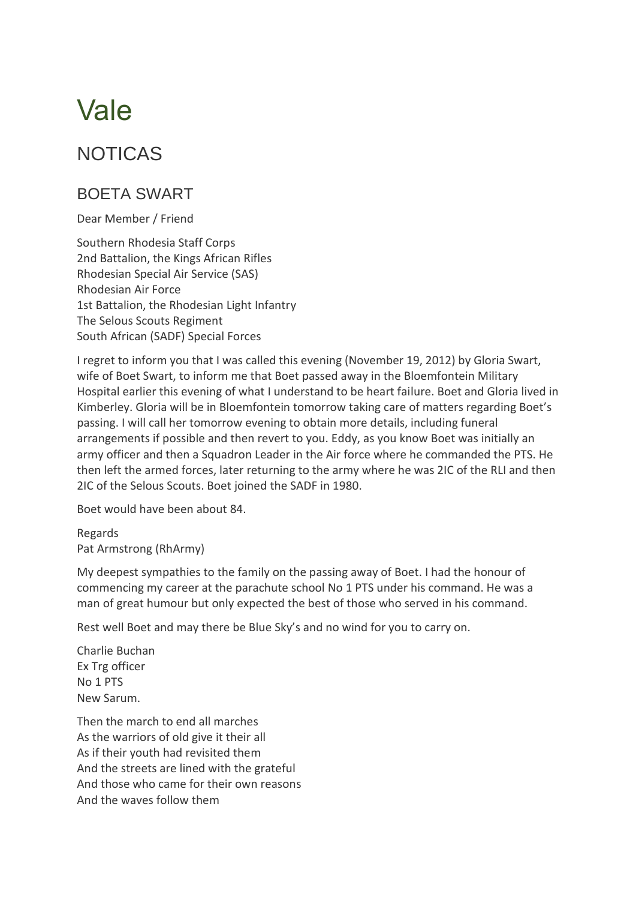## Vale

## NOTICAS

## BOETA SWART

Dear Member / Friend

Southern Rhodesia Staff Corps 2nd Battalion, the Kings African Rifles Rhodesian Special Air Service (SAS) Rhodesian Air Force 1st Battalion, the Rhodesian Light Infantry The Selous Scouts Regiment South African (SADF) Special Forces

I regret to inform you that I was called this evening (November 19, 2012) by Gloria Swart, wife of Boet Swart, to inform me that Boet passed away in the Bloemfontein Military Hospital earlier this evening of what I understand to be heart failure. Boet and Gloria lived in Kimberley. Gloria will be in Bloemfontein tomorrow taking care of matters regarding Boet's passing. I will call her tomorrow evening to obtain more details, including funeral arrangements if possible and then revert to you. Eddy, as you know Boet was initially an army officer and then a Squadron Leader in the Air force where he commanded the PTS. He then left the armed forces, later returning to the army where he was 2IC of the RLI and then 2IC of the Selous Scouts. Boet joined the SADF in 1980.

Boet would have been about 84.

Regards Pat Armstrong (RhArmy)

My deepest sympathies to the family on the passing away of Boet. I had the honour of commencing my career at the parachute school No 1 PTS under his command. He was a man of great humour but only expected the best of those who served in his command.

Rest well Boet and may there be Blue Sky's and no wind for you to carry on.

Charlie Buchan Ex Trg officer No 1 PTS New Sarum.

Then the march to end all marches As the warriors of old give it their all As if their youth had revisited them And the streets are lined with the grateful And those who came for their own reasons And the waves follow them